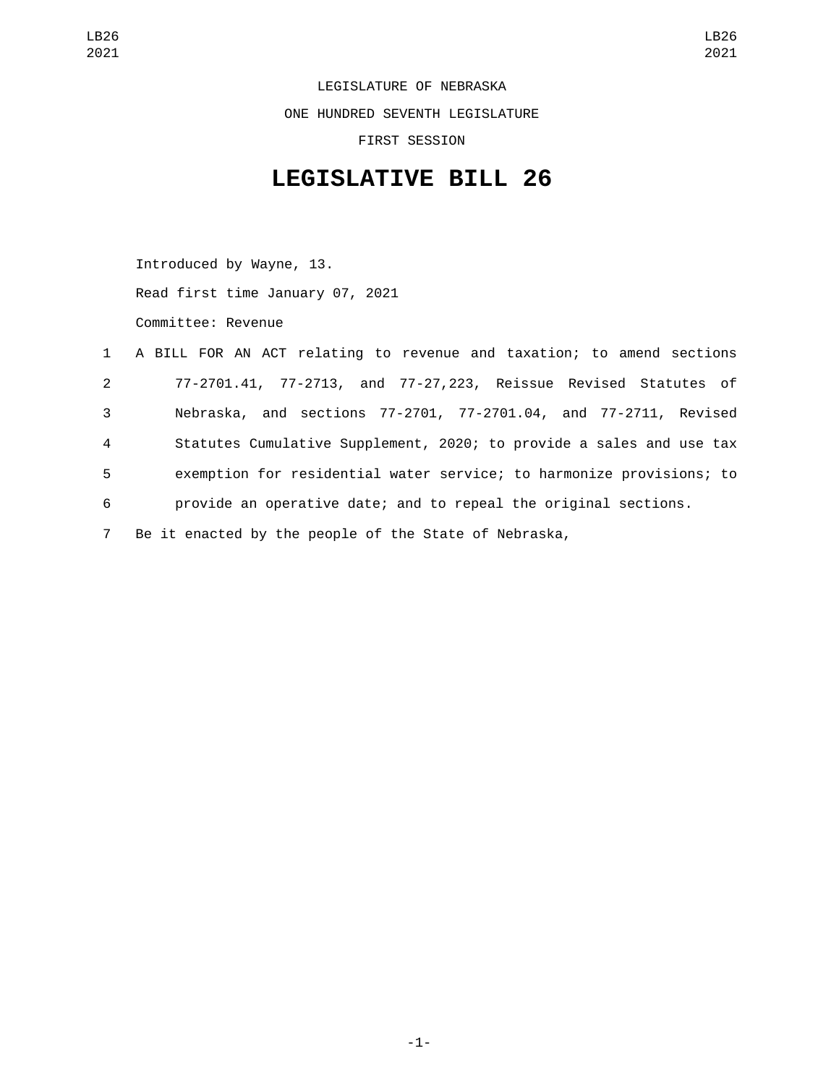LEGISLATURE OF NEBRASKA ONE HUNDRED SEVENTH LEGISLATURE FIRST SESSION

## **LEGISLATIVE BILL 26**

Introduced by Wayne, 13. Read first time January 07, 2021 Committee: Revenue

|                | 1 A BILL FOR AN ACT relating to revenue and taxation; to amend sections |
|----------------|-------------------------------------------------------------------------|
| $2^{\circ}$    | 77-2701.41, 77-2713, and 77-27,223, Reissue Revised Statutes of         |
| 3              | Nebraska, and sections 77-2701, 77-2701.04, and 77-2711, Revised        |
| $\overline{4}$ | Statutes Cumulative Supplement, 2020; to provide a sales and use tax    |
| 5              | exemption for residential water service; to harmonize provisions; to    |
| 6              | provide an operative date; and to repeal the original sections.         |
| $7^{\circ}$    | Be it enacted by the people of the State of Nebraska,                   |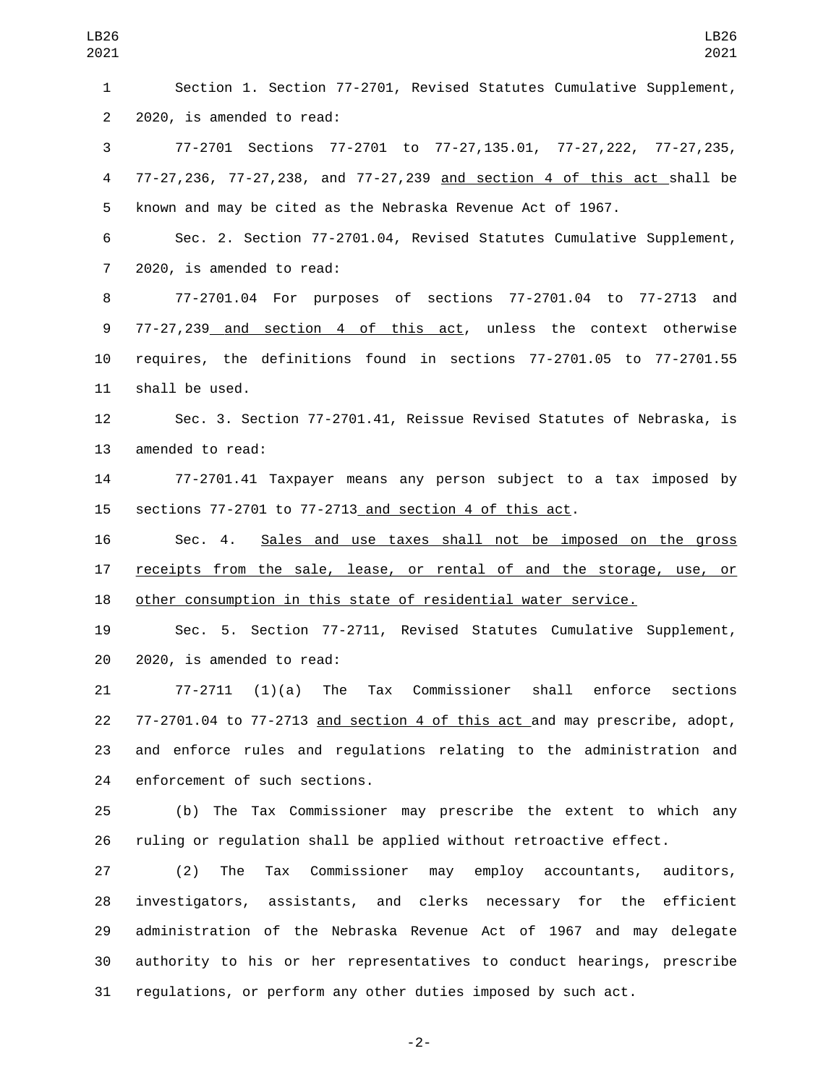| LB26<br>2021            | LB26<br>2021                                                               |
|-------------------------|----------------------------------------------------------------------------|
| 1                       | Section 1. Section 77-2701, Revised Statutes Cumulative Supplement,        |
| $\overline{2}$          | 2020, is amended to read:                                                  |
| 3                       | 77-2701 Sections 77-2701 to 77-27,135.01, 77-27,222, 77-27,235,            |
| $\overline{\mathbf{4}}$ | 77-27,236, 77-27,238, and 77-27,239 and section 4 of this act shall be     |
| 5                       | known and may be cited as the Nebraska Revenue Act of 1967.                |
| 6                       | Sec. 2. Section 77-2701.04, Revised Statutes Cumulative Supplement,        |
| $\overline{7}$          | 2020, is amended to read:                                                  |
| 8                       | 77-2701.04 For purposes of sections 77-2701.04 to 77-2713 and              |
| 9                       | 77-27,239 <u> and section 4 of this act</u> , unless the context otherwise |
| 10                      | requires, the definitions found in sections 77-2701.05 to 77-2701.55       |
| 11                      | shall be used.                                                             |
| 12                      | Sec. 3. Section 77-2701.41, Reissue Revised Statutes of Nebraska, is       |
| 13                      | amended to read:                                                           |
| 14                      | 77-2701.41 Taxpayer means any person subject to a tax imposed by           |
| 15                      | sections 77-2701 to 77-2713 and section 4 of this act.                     |
| 16                      | Sales and use taxes shall not be imposed on the gross<br>Sec. 4.           |
| 17                      | receipts from the sale, lease, or rental of and the storage, use, or       |
| 18                      | other consumption in this state of residential water service.              |
| 19                      | 5. Section 77-2711, Revised Statutes Cumulative Supplement,<br>Sec.        |
| 20                      | 2020, is amended to read:                                                  |
| 21                      | $(1)(a)$ The Tax Commissioner shall enforce sections<br>$77 - 2711$        |
| 22                      | 77-2701.04 to 77-2713 and section 4 of this act and may prescribe, adopt,  |
| 23                      | and enforce rules and regulations relating to the administration and       |
| 24                      | enforcement of such sections.                                              |
| 25                      | (b) The Tax Commissioner may prescribe the extent to which any             |
| 26                      | ruling or regulation shall be applied without retroactive effect.          |
| 27                      | Tax Commissioner may employ accountants, auditors,<br>(2)<br>The           |
| 28                      | investigators, assistants, and clerks necessary for the efficient          |
| 29                      | administration of the Nebraska Revenue Act of 1967 and may delegate        |
| 30                      | authority to his or her representatives to conduct hearings, prescribe     |

-2-

regulations, or perform any other duties imposed by such act.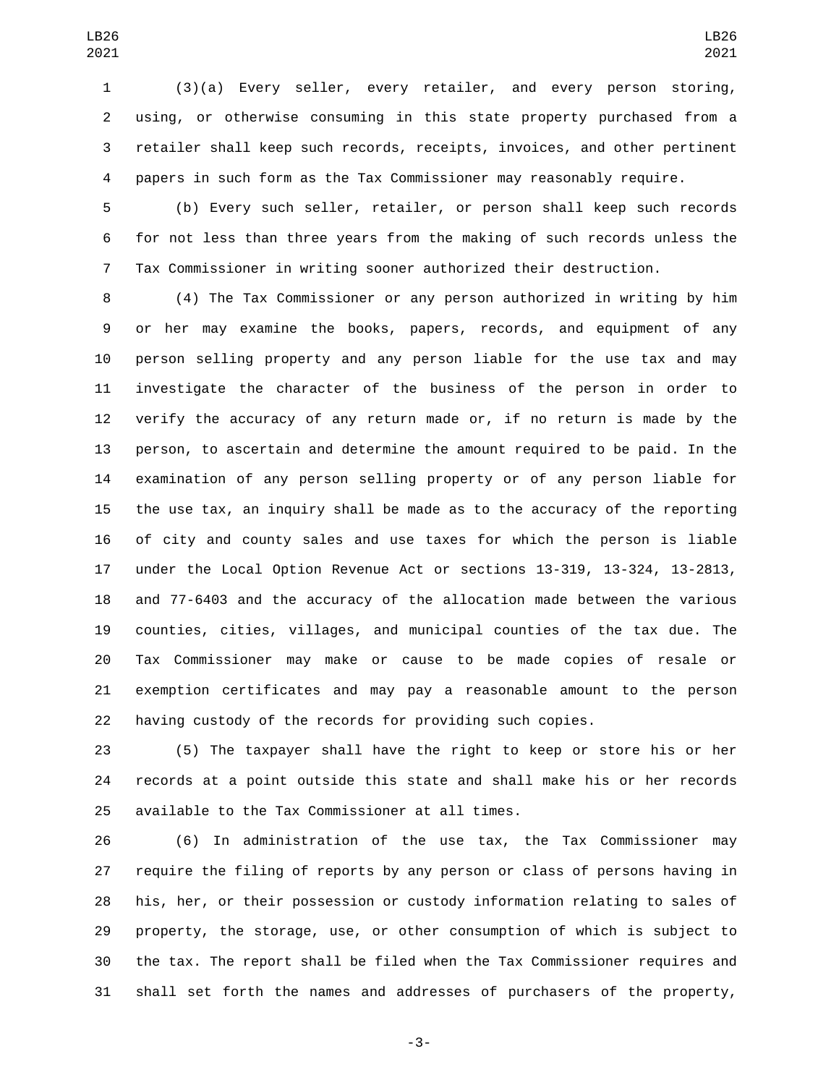(3)(a) Every seller, every retailer, and every person storing, using, or otherwise consuming in this state property purchased from a retailer shall keep such records, receipts, invoices, and other pertinent papers in such form as the Tax Commissioner may reasonably require.

 (b) Every such seller, retailer, or person shall keep such records for not less than three years from the making of such records unless the Tax Commissioner in writing sooner authorized their destruction.

 (4) The Tax Commissioner or any person authorized in writing by him or her may examine the books, papers, records, and equipment of any person selling property and any person liable for the use tax and may investigate the character of the business of the person in order to verify the accuracy of any return made or, if no return is made by the person, to ascertain and determine the amount required to be paid. In the examination of any person selling property or of any person liable for the use tax, an inquiry shall be made as to the accuracy of the reporting of city and county sales and use taxes for which the person is liable under the Local Option Revenue Act or sections 13-319, 13-324, 13-2813, and 77-6403 and the accuracy of the allocation made between the various counties, cities, villages, and municipal counties of the tax due. The Tax Commissioner may make or cause to be made copies of resale or exemption certificates and may pay a reasonable amount to the person having custody of the records for providing such copies.

 (5) The taxpayer shall have the right to keep or store his or her records at a point outside this state and shall make his or her records 25 available to the Tax Commissioner at all times.

 (6) In administration of the use tax, the Tax Commissioner may require the filing of reports by any person or class of persons having in his, her, or their possession or custody information relating to sales of property, the storage, use, or other consumption of which is subject to the tax. The report shall be filed when the Tax Commissioner requires and shall set forth the names and addresses of purchasers of the property,

-3-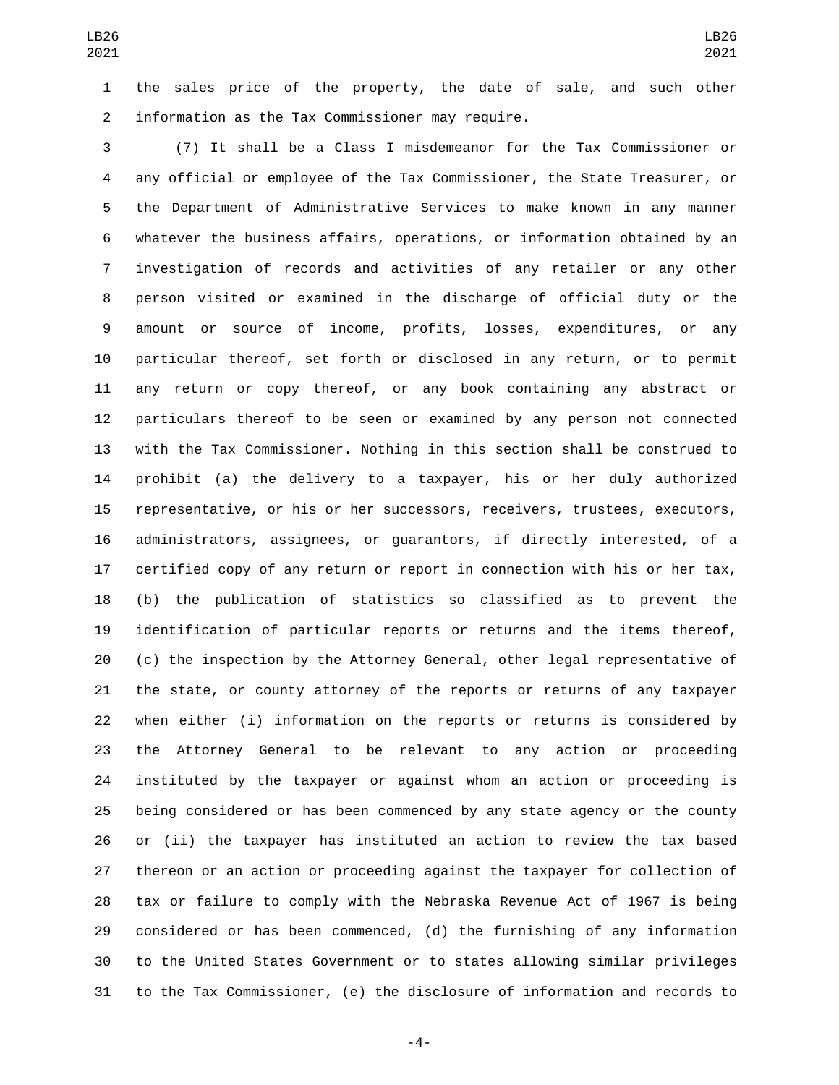the sales price of the property, the date of sale, and such other 2 information as the Tax Commissioner may require.

 (7) It shall be a Class I misdemeanor for the Tax Commissioner or any official or employee of the Tax Commissioner, the State Treasurer, or the Department of Administrative Services to make known in any manner whatever the business affairs, operations, or information obtained by an investigation of records and activities of any retailer or any other person visited or examined in the discharge of official duty or the amount or source of income, profits, losses, expenditures, or any particular thereof, set forth or disclosed in any return, or to permit any return or copy thereof, or any book containing any abstract or particulars thereof to be seen or examined by any person not connected with the Tax Commissioner. Nothing in this section shall be construed to prohibit (a) the delivery to a taxpayer, his or her duly authorized representative, or his or her successors, receivers, trustees, executors, administrators, assignees, or guarantors, if directly interested, of a certified copy of any return or report in connection with his or her tax, (b) the publication of statistics so classified as to prevent the identification of particular reports or returns and the items thereof, (c) the inspection by the Attorney General, other legal representative of the state, or county attorney of the reports or returns of any taxpayer when either (i) information on the reports or returns is considered by the Attorney General to be relevant to any action or proceeding instituted by the taxpayer or against whom an action or proceeding is being considered or has been commenced by any state agency or the county or (ii) the taxpayer has instituted an action to review the tax based thereon or an action or proceeding against the taxpayer for collection of tax or failure to comply with the Nebraska Revenue Act of 1967 is being considered or has been commenced, (d) the furnishing of any information to the United States Government or to states allowing similar privileges to the Tax Commissioner, (e) the disclosure of information and records to

-4-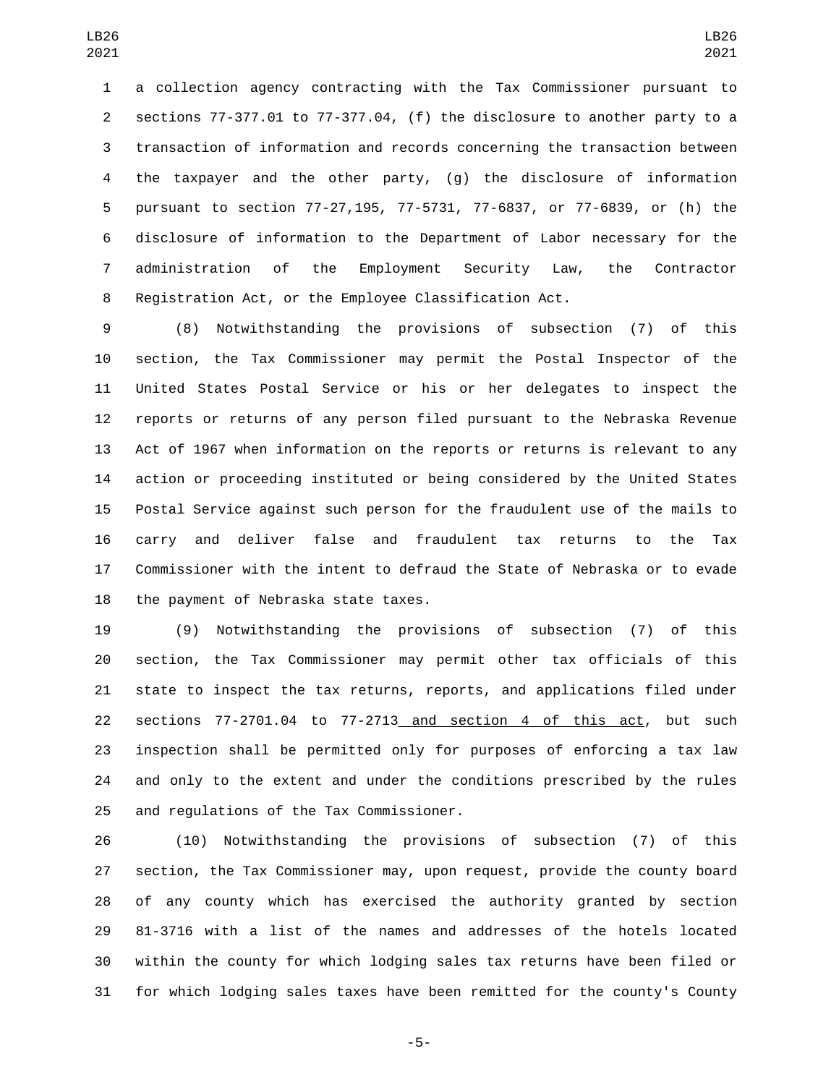a collection agency contracting with the Tax Commissioner pursuant to sections 77-377.01 to 77-377.04, (f) the disclosure to another party to a transaction of information and records concerning the transaction between the taxpayer and the other party, (g) the disclosure of information pursuant to section 77-27,195, 77-5731, 77-6837, or 77-6839, or (h) the disclosure of information to the Department of Labor necessary for the administration of the Employment Security Law, the Contractor Registration Act, or the Employee Classification Act.

 (8) Notwithstanding the provisions of subsection (7) of this section, the Tax Commissioner may permit the Postal Inspector of the United States Postal Service or his or her delegates to inspect the reports or returns of any person filed pursuant to the Nebraska Revenue Act of 1967 when information on the reports or returns is relevant to any action or proceeding instituted or being considered by the United States Postal Service against such person for the fraudulent use of the mails to carry and deliver false and fraudulent tax returns to the Tax Commissioner with the intent to defraud the State of Nebraska or to evade 18 the payment of Nebraska state taxes.

 (9) Notwithstanding the provisions of subsection (7) of this section, the Tax Commissioner may permit other tax officials of this state to inspect the tax returns, reports, and applications filed under sections 77-2701.04 to 77-2713 and section 4 of this act, but such inspection shall be permitted only for purposes of enforcing a tax law and only to the extent and under the conditions prescribed by the rules 25 and regulations of the Tax Commissioner.

 (10) Notwithstanding the provisions of subsection (7) of this section, the Tax Commissioner may, upon request, provide the county board of any county which has exercised the authority granted by section 81-3716 with a list of the names and addresses of the hotels located within the county for which lodging sales tax returns have been filed or for which lodging sales taxes have been remitted for the county's County

-5-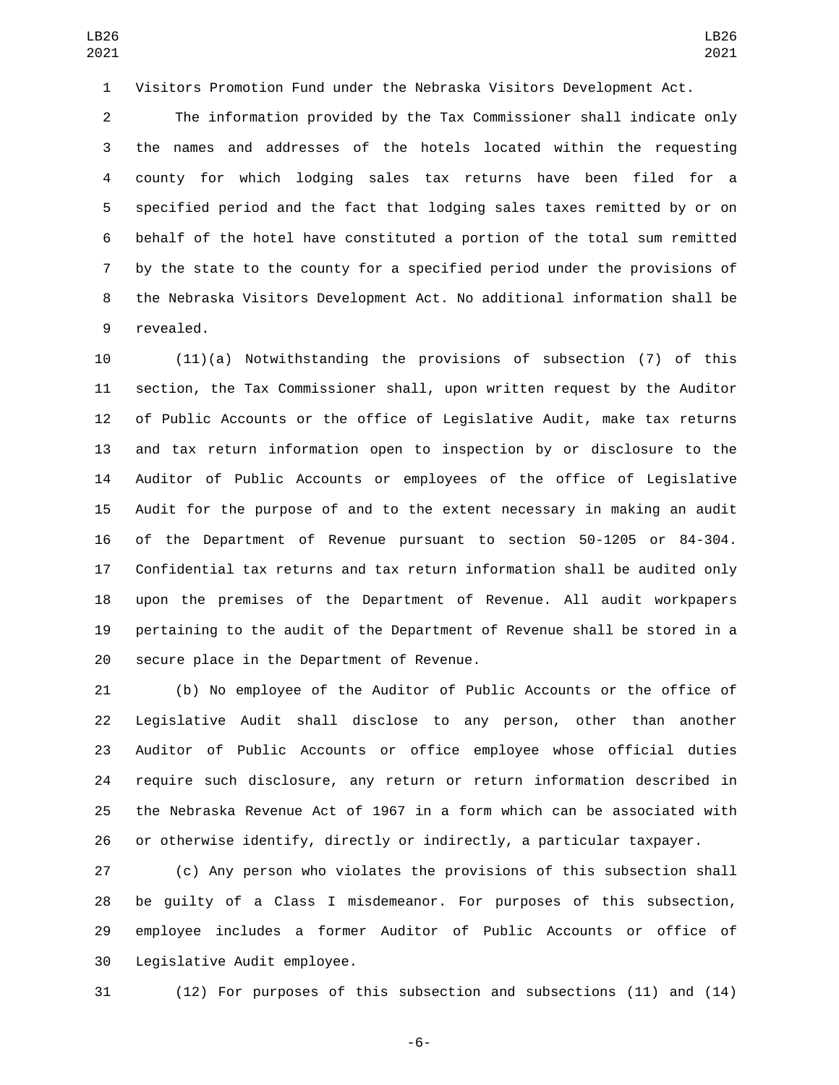Visitors Promotion Fund under the Nebraska Visitors Development Act.

 The information provided by the Tax Commissioner shall indicate only the names and addresses of the hotels located within the requesting county for which lodging sales tax returns have been filed for a specified period and the fact that lodging sales taxes remitted by or on behalf of the hotel have constituted a portion of the total sum remitted by the state to the county for a specified period under the provisions of the Nebraska Visitors Development Act. No additional information shall be 9 revealed.

 (11)(a) Notwithstanding the provisions of subsection (7) of this section, the Tax Commissioner shall, upon written request by the Auditor of Public Accounts or the office of Legislative Audit, make tax returns and tax return information open to inspection by or disclosure to the Auditor of Public Accounts or employees of the office of Legislative Audit for the purpose of and to the extent necessary in making an audit of the Department of Revenue pursuant to section 50-1205 or 84-304. Confidential tax returns and tax return information shall be audited only upon the premises of the Department of Revenue. All audit workpapers pertaining to the audit of the Department of Revenue shall be stored in a 20 secure place in the Department of Revenue.

 (b) No employee of the Auditor of Public Accounts or the office of Legislative Audit shall disclose to any person, other than another Auditor of Public Accounts or office employee whose official duties require such disclosure, any return or return information described in the Nebraska Revenue Act of 1967 in a form which can be associated with or otherwise identify, directly or indirectly, a particular taxpayer.

 (c) Any person who violates the provisions of this subsection shall be guilty of a Class I misdemeanor. For purposes of this subsection, employee includes a former Auditor of Public Accounts or office of 30 Legislative Audit employee.

(12) For purposes of this subsection and subsections (11) and (14)

-6-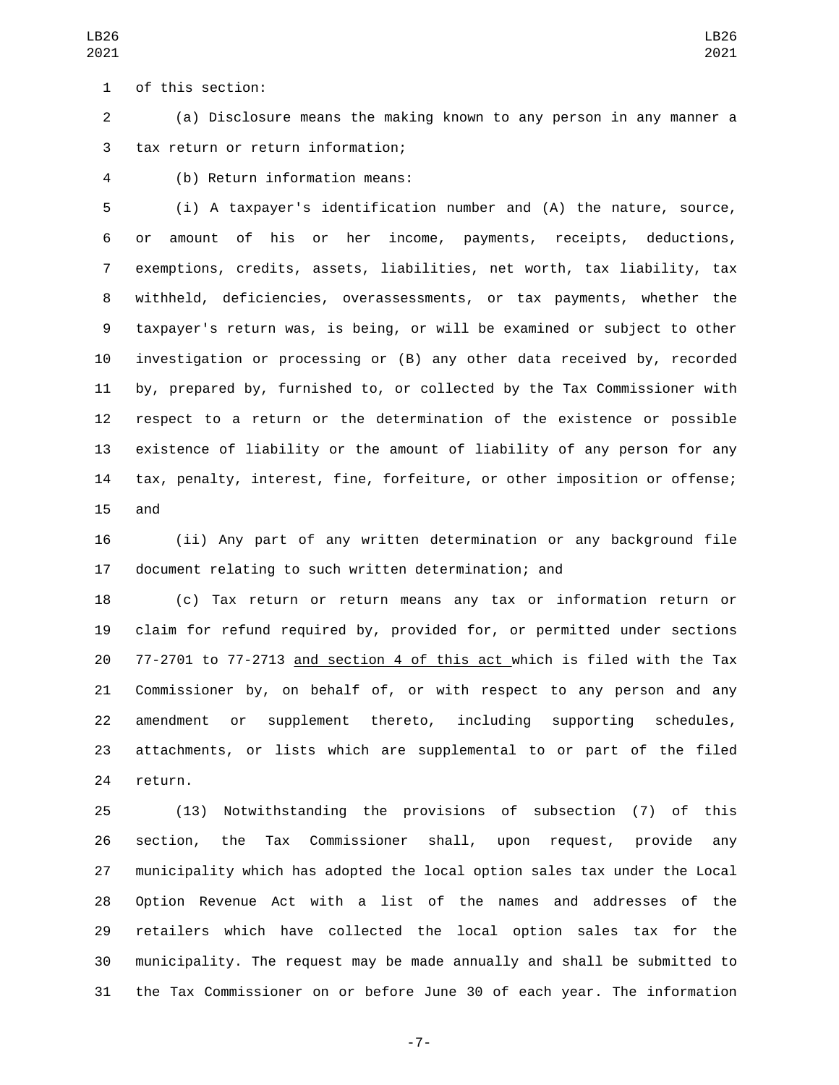of this section:1

 (a) Disclosure means the making known to any person in any manner a 3 tax return or return information;

LB26 

(b) Return information means:4

 (i) A taxpayer's identification number and (A) the nature, source, or amount of his or her income, payments, receipts, deductions, exemptions, credits, assets, liabilities, net worth, tax liability, tax withheld, deficiencies, overassessments, or tax payments, whether the taxpayer's return was, is being, or will be examined or subject to other investigation or processing or (B) any other data received by, recorded by, prepared by, furnished to, or collected by the Tax Commissioner with respect to a return or the determination of the existence or possible existence of liability or the amount of liability of any person for any tax, penalty, interest, fine, forfeiture, or other imposition or offense; 15 and

 (ii) Any part of any written determination or any background file document relating to such written determination; and

 (c) Tax return or return means any tax or information return or claim for refund required by, provided for, or permitted under sections 77-2701 to 77-2713 and section 4 of this act which is filed with the Tax Commissioner by, on behalf of, or with respect to any person and any amendment or supplement thereto, including supporting schedules, attachments, or lists which are supplemental to or part of the filed 24 return.

 (13) Notwithstanding the provisions of subsection (7) of this section, the Tax Commissioner shall, upon request, provide any municipality which has adopted the local option sales tax under the Local Option Revenue Act with a list of the names and addresses of the retailers which have collected the local option sales tax for the municipality. The request may be made annually and shall be submitted to the Tax Commissioner on or before June 30 of each year. The information

-7-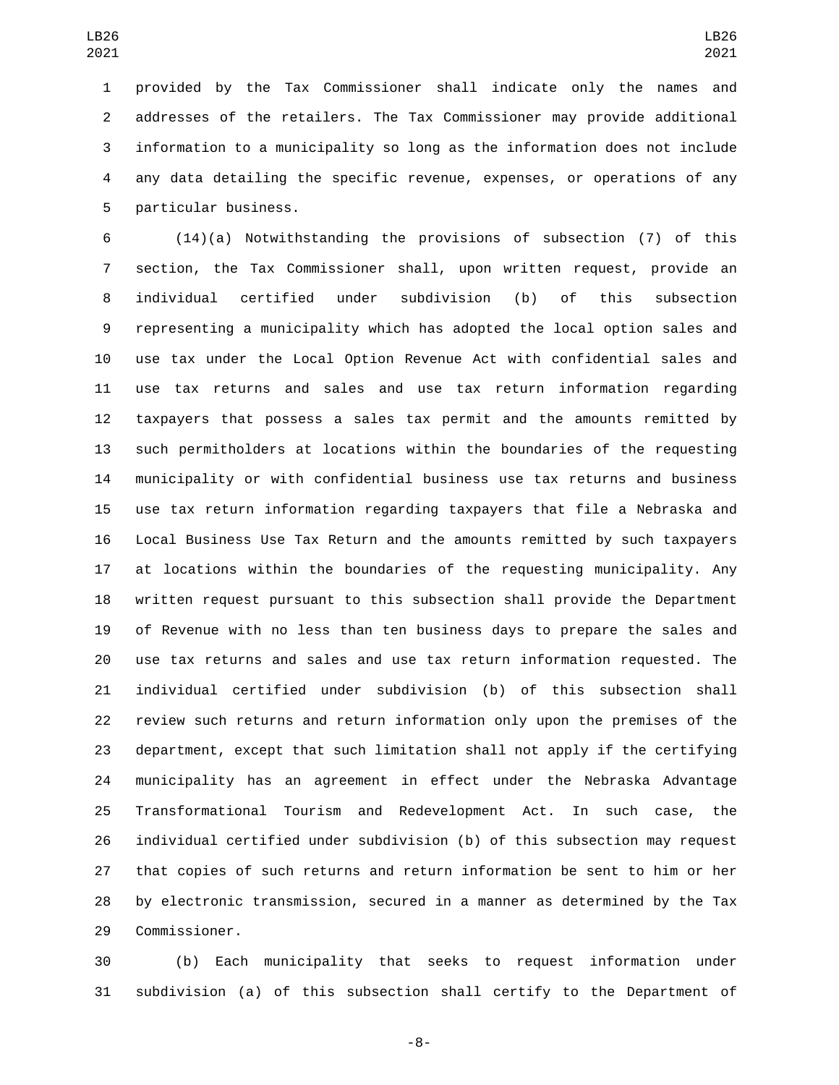provided by the Tax Commissioner shall indicate only the names and addresses of the retailers. The Tax Commissioner may provide additional information to a municipality so long as the information does not include any data detailing the specific revenue, expenses, or operations of any 5 particular business.

 (14)(a) Notwithstanding the provisions of subsection (7) of this section, the Tax Commissioner shall, upon written request, provide an individual certified under subdivision (b) of this subsection representing a municipality which has adopted the local option sales and use tax under the Local Option Revenue Act with confidential sales and use tax returns and sales and use tax return information regarding taxpayers that possess a sales tax permit and the amounts remitted by such permitholders at locations within the boundaries of the requesting municipality or with confidential business use tax returns and business use tax return information regarding taxpayers that file a Nebraska and Local Business Use Tax Return and the amounts remitted by such taxpayers at locations within the boundaries of the requesting municipality. Any written request pursuant to this subsection shall provide the Department of Revenue with no less than ten business days to prepare the sales and use tax returns and sales and use tax return information requested. The individual certified under subdivision (b) of this subsection shall review such returns and return information only upon the premises of the department, except that such limitation shall not apply if the certifying municipality has an agreement in effect under the Nebraska Advantage Transformational Tourism and Redevelopment Act. In such case, the individual certified under subdivision (b) of this subsection may request that copies of such returns and return information be sent to him or her by electronic transmission, secured in a manner as determined by the Tax 29 Commissioner.

 (b) Each municipality that seeks to request information under subdivision (a) of this subsection shall certify to the Department of

-8-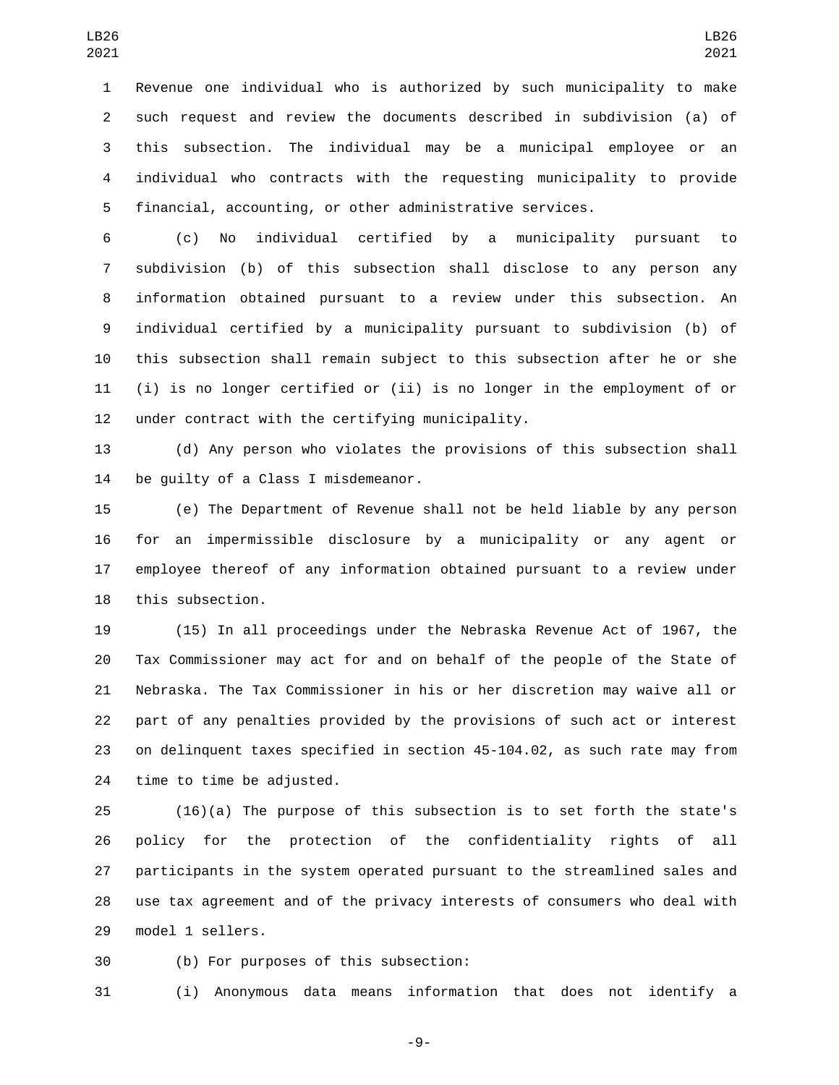Revenue one individual who is authorized by such municipality to make such request and review the documents described in subdivision (a) of this subsection. The individual may be a municipal employee or an individual who contracts with the requesting municipality to provide financial, accounting, or other administrative services.

 (c) No individual certified by a municipality pursuant to subdivision (b) of this subsection shall disclose to any person any information obtained pursuant to a review under this subsection. An individual certified by a municipality pursuant to subdivision (b) of this subsection shall remain subject to this subsection after he or she (i) is no longer certified or (ii) is no longer in the employment of or 12 under contract with the certifying municipality.

 (d) Any person who violates the provisions of this subsection shall 14 be quilty of a Class I misdemeanor.

 (e) The Department of Revenue shall not be held liable by any person for an impermissible disclosure by a municipality or any agent or employee thereof of any information obtained pursuant to a review under 18 this subsection.

 (15) In all proceedings under the Nebraska Revenue Act of 1967, the Tax Commissioner may act for and on behalf of the people of the State of Nebraska. The Tax Commissioner in his or her discretion may waive all or part of any penalties provided by the provisions of such act or interest on delinquent taxes specified in section 45-104.02, as such rate may from 24 time to time be adjusted.

 (16)(a) The purpose of this subsection is to set forth the state's policy for the protection of the confidentiality rights of all participants in the system operated pursuant to the streamlined sales and use tax agreement and of the privacy interests of consumers who deal with 29 model 1 sellers.

30 (b) For purposes of this subsection:

(i) Anonymous data means information that does not identify a

-9-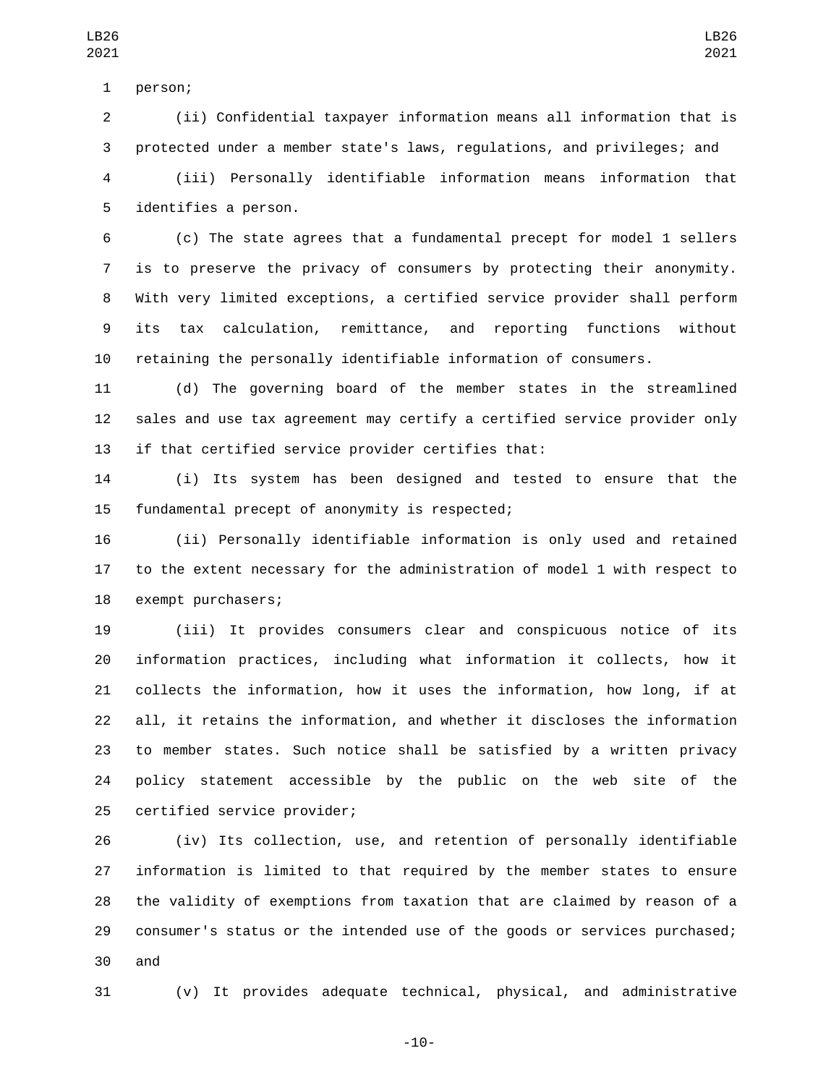(ii) Confidential taxpayer information means all information that is protected under a member state's laws, regulations, and privileges; and (iii) Personally identifiable information means information that 5 identifies a person.

 (c) The state agrees that a fundamental precept for model 1 sellers is to preserve the privacy of consumers by protecting their anonymity. With very limited exceptions, a certified service provider shall perform its tax calculation, remittance, and reporting functions without retaining the personally identifiable information of consumers.

 (d) The governing board of the member states in the streamlined sales and use tax agreement may certify a certified service provider only if that certified service provider certifies that:

 (i) Its system has been designed and tested to ensure that the 15 fundamental precept of anonymity is respected;

 (ii) Personally identifiable information is only used and retained to the extent necessary for the administration of model 1 with respect to 18 exempt purchasers;

 (iii) It provides consumers clear and conspicuous notice of its information practices, including what information it collects, how it collects the information, how it uses the information, how long, if at all, it retains the information, and whether it discloses the information to member states. Such notice shall be satisfied by a written privacy policy statement accessible by the public on the web site of the 25 certified service provider;

 (iv) Its collection, use, and retention of personally identifiable information is limited to that required by the member states to ensure the validity of exemptions from taxation that are claimed by reason of a consumer's status or the intended use of the goods or services purchased; 30 and

(v) It provides adequate technical, physical, and administrative

LB26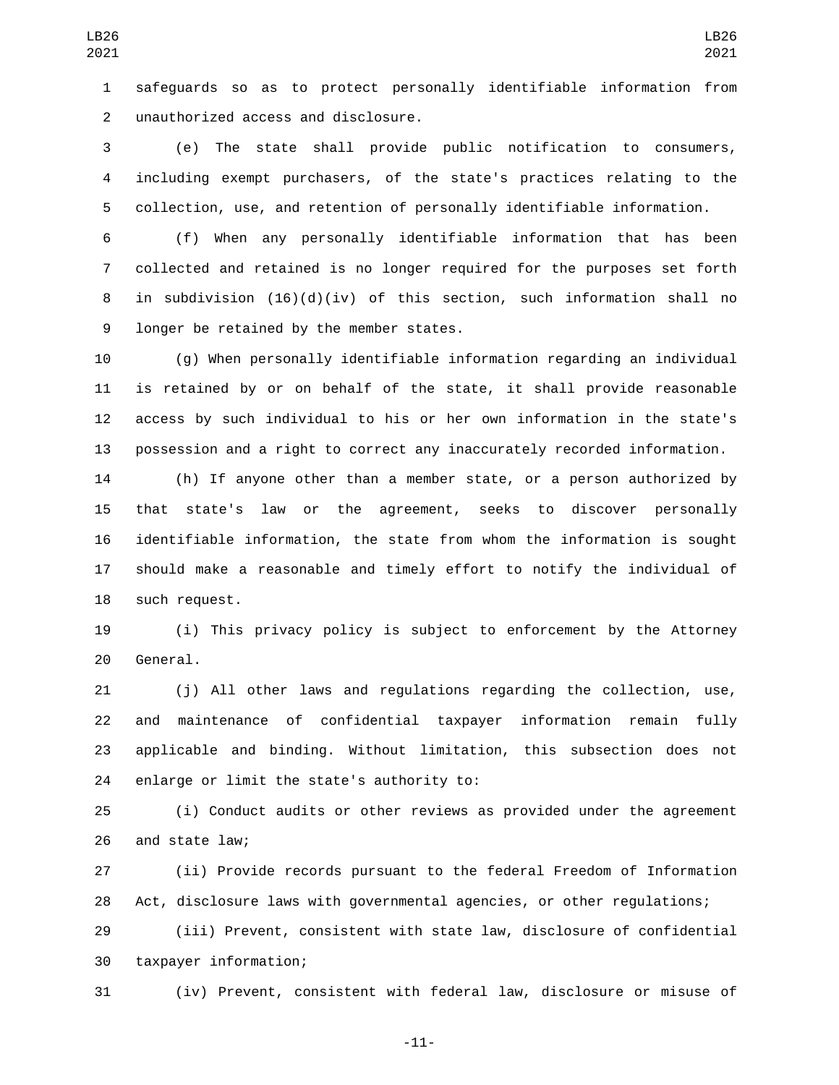safeguards so as to protect personally identifiable information from unauthorized access and disclosure.2

 (e) The state shall provide public notification to consumers, including exempt purchasers, of the state's practices relating to the collection, use, and retention of personally identifiable information.

 (f) When any personally identifiable information that has been collected and retained is no longer required for the purposes set forth 8 in subdivision  $(16)(d)(iv)$  of this section, such information shall no 9 longer be retained by the member states.

 (g) When personally identifiable information regarding an individual is retained by or on behalf of the state, it shall provide reasonable access by such individual to his or her own information in the state's possession and a right to correct any inaccurately recorded information.

 (h) If anyone other than a member state, or a person authorized by that state's law or the agreement, seeks to discover personally identifiable information, the state from whom the information is sought should make a reasonable and timely effort to notify the individual of 18 such request.

 (i) This privacy policy is subject to enforcement by the Attorney 20 General.

 (j) All other laws and regulations regarding the collection, use, and maintenance of confidential taxpayer information remain fully applicable and binding. Without limitation, this subsection does not 24 enlarge or limit the state's authority to:

 (i) Conduct audits or other reviews as provided under the agreement 26 and state law;

 (ii) Provide records pursuant to the federal Freedom of Information Act, disclosure laws with governmental agencies, or other regulations;

 (iii) Prevent, consistent with state law, disclosure of confidential 30 taxpayer information;

(iv) Prevent, consistent with federal law, disclosure or misuse of

-11-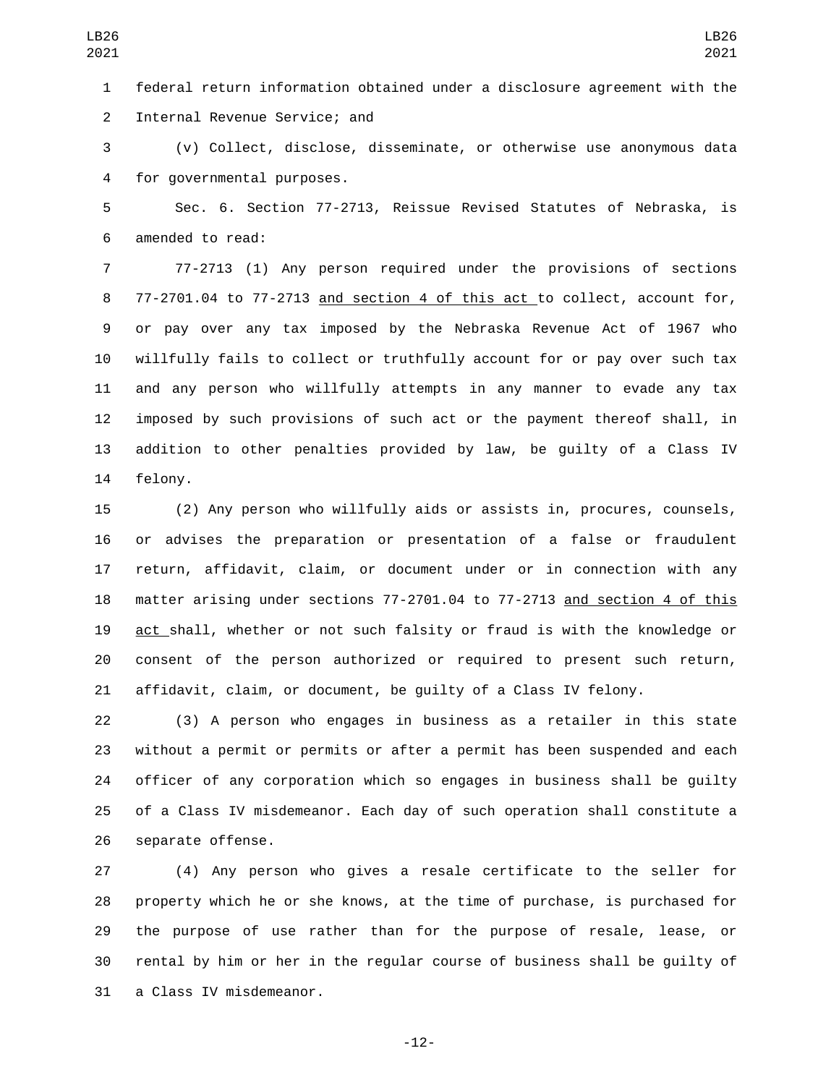federal return information obtained under a disclosure agreement with the 2 Internal Revenue Service; and

 (v) Collect, disclose, disseminate, or otherwise use anonymous data 4 for governmental purposes.

 Sec. 6. Section 77-2713, Reissue Revised Statutes of Nebraska, is 6 amended to read:

 77-2713 (1) Any person required under the provisions of sections 77-2701.04 to 77-2713 and section 4 of this act to collect, account for, or pay over any tax imposed by the Nebraska Revenue Act of 1967 who willfully fails to collect or truthfully account for or pay over such tax and any person who willfully attempts in any manner to evade any tax imposed by such provisions of such act or the payment thereof shall, in addition to other penalties provided by law, be guilty of a Class IV 14 felony.

 (2) Any person who willfully aids or assists in, procures, counsels, or advises the preparation or presentation of a false or fraudulent return, affidavit, claim, or document under or in connection with any matter arising under sections 77-2701.04 to 77-2713 and section 4 of this act shall, whether or not such falsity or fraud is with the knowledge or consent of the person authorized or required to present such return, affidavit, claim, or document, be guilty of a Class IV felony.

 (3) A person who engages in business as a retailer in this state without a permit or permits or after a permit has been suspended and each officer of any corporation which so engages in business shall be guilty of a Class IV misdemeanor. Each day of such operation shall constitute a 26 separate offense.

 (4) Any person who gives a resale certificate to the seller for property which he or she knows, at the time of purchase, is purchased for the purpose of use rather than for the purpose of resale, lease, or rental by him or her in the regular course of business shall be guilty of 31 a Class IV misdemeanor.

-12-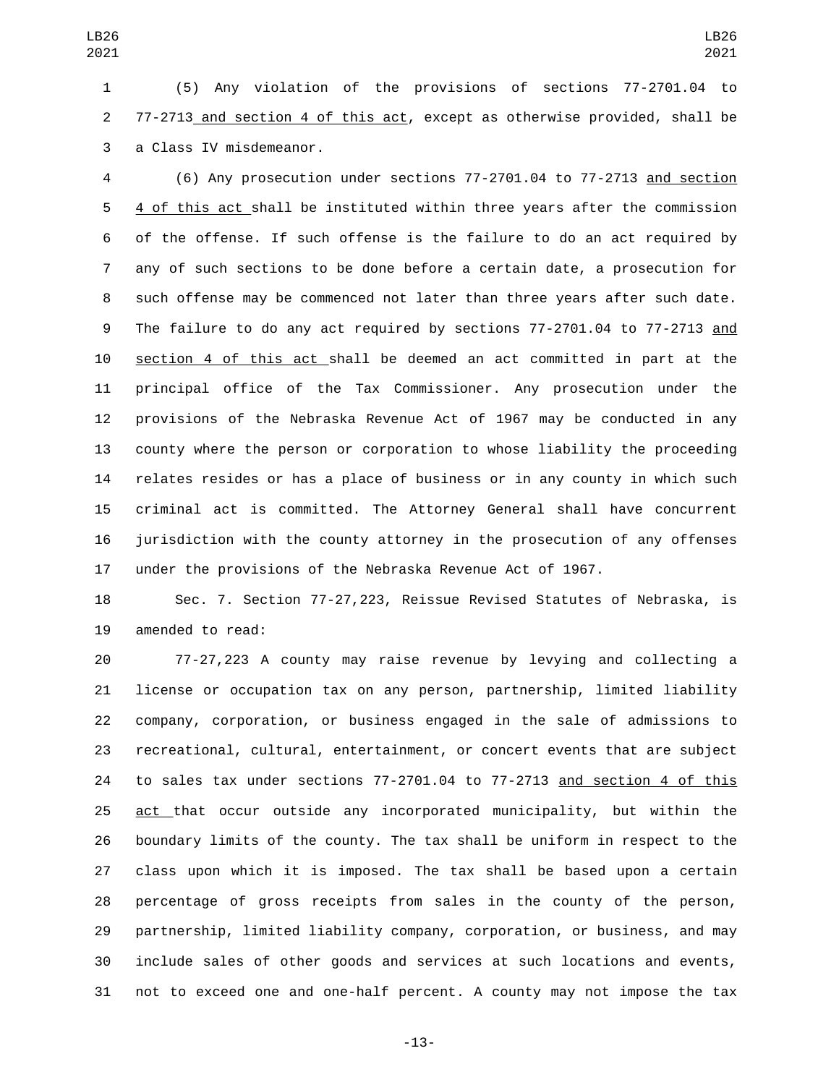(5) Any violation of the provisions of sections 77-2701.04 to 77-2713 and section 4 of this act, except as otherwise provided, shall be 3 a Class IV misdemeanor.

 (6) Any prosecution under sections 77-2701.04 to 77-2713 and section 4 of this act shall be instituted within three years after the commission of the offense. If such offense is the failure to do an act required by any of such sections to be done before a certain date, a prosecution for such offense may be commenced not later than three years after such date. The failure to do any act required by sections 77-2701.04 to 77-2713 and section 4 of this act shall be deemed an act committed in part at the principal office of the Tax Commissioner. Any prosecution under the provisions of the Nebraska Revenue Act of 1967 may be conducted in any county where the person or corporation to whose liability the proceeding relates resides or has a place of business or in any county in which such criminal act is committed. The Attorney General shall have concurrent jurisdiction with the county attorney in the prosecution of any offenses under the provisions of the Nebraska Revenue Act of 1967.

 Sec. 7. Section 77-27,223, Reissue Revised Statutes of Nebraska, is 19 amended to read:

 77-27,223 A county may raise revenue by levying and collecting a license or occupation tax on any person, partnership, limited liability company, corporation, or business engaged in the sale of admissions to recreational, cultural, entertainment, or concert events that are subject to sales tax under sections 77-2701.04 to 77-2713 and section 4 of this act that occur outside any incorporated municipality, but within the boundary limits of the county. The tax shall be uniform in respect to the class upon which it is imposed. The tax shall be based upon a certain percentage of gross receipts from sales in the county of the person, partnership, limited liability company, corporation, or business, and may include sales of other goods and services at such locations and events, not to exceed one and one-half percent. A county may not impose the tax

-13-